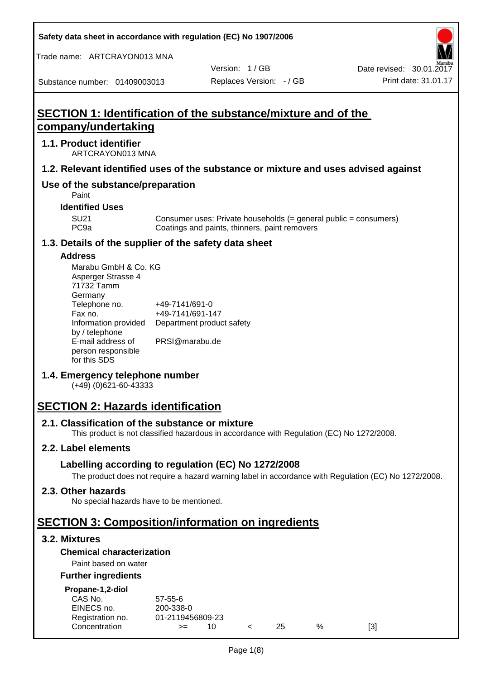**Safety data sheet in accordance with regulation (EC) No 1907/2006**

Trade name: ARTCRAYON013 MNA

Substance number: 01409003013

Version: 1 / GB

# **SECTION 1: Identification of the substance/mixture and of the company/undertaking**

#### **1.1. Product identifier**

ARTCRAYON013 MNA

# **1.2. Relevant identified uses of the substance or mixture and uses advised against**

# **Use of the substance/preparation**

Paint

**Identified Uses**

SU21 Consumer uses: Private households (= general public = consumers)<br>PC9a Coatings and paints, thinners, paint removers Coatings and paints, thinners, paint removers

#### **1.3. Details of the supplier of the safety data sheet**

#### **Address**

| Marabu GmbH & Co. KG |                           |
|----------------------|---------------------------|
| Asperger Strasse 4   |                           |
| 71732 Tamm           |                           |
| Germany              |                           |
| Telephone no.        | +49-7141/691-0            |
| Fax no.              | +49-7141/691-147          |
| Information provided | Department product safety |
| by / telephone       |                           |
| E-mail address of    | PRSI@marabu.de            |
| person responsible   |                           |
| for this SDS         |                           |

# **1.4. Emergency telephone number**

(+49) (0)621-60-43333

# **SECTION 2: Hazards identification**

#### **2.1. Classification of the substance or mixture**

This product is not classified hazardous in accordance with Regulation (EC) No 1272/2008.

# **2.2. Label elements**

# **Labelling according to regulation (EC) No 1272/2008**

The product does not require a hazard warning label in accordance with Regulation (EC) No 1272/2008.

#### **2.3. Other hazards**

No special hazards have to be mentioned.

# **SECTION 3: Composition/information on ingredients**

# **3.2. Mixtures**

# **Chemical characterization**

# Paint based on water

#### **Further ingredients**

| Propane-1,2-diol |  |
|------------------|--|
|                  |  |

| CAS No.          | $57 - 55 - 6$    |  |     |   |     |
|------------------|------------------|--|-----|---|-----|
| EINECS no.       | 200-338-0        |  |     |   |     |
| Registration no. | 01-2119456809-23 |  |     |   |     |
| Concentration    | $>=$             |  | 25. | % | [3] |
|                  |                  |  |     |   |     |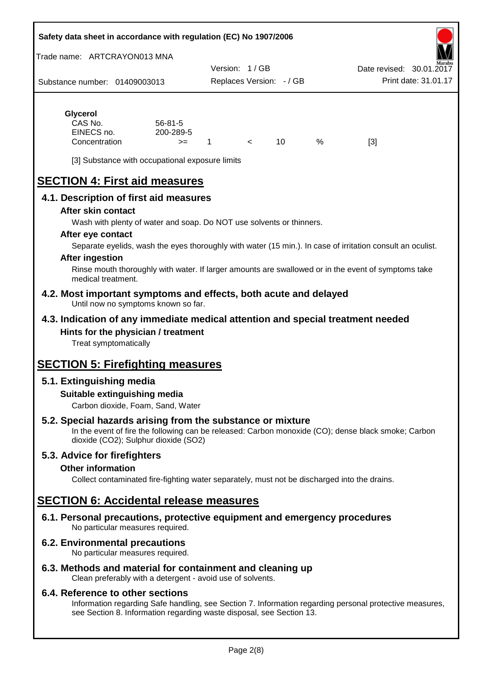#### **Safety data sheet in accordance with regulation (EC) No 1907/2006**

Trade name: ARTCRAYON013 MNA

Substance number: 01409003013 Version: 1 / GB Replaces Version: - / GB Print date: 31.01.17 Date revised: 30.01.2

# **Glycerol**

| CAS No.       | $56 - 81 - 5$ |  |   |     |
|---------------|---------------|--|---|-----|
| EINECS no.    | 200-289-5     |  |   |     |
| Concentration | $>=$          |  | % | [3] |

[3] Substance with occupational exposure limits

# **SECTION 4: First aid measures**

# **4.1. Description of first aid measures**

#### **After skin contact**

Wash with plenty of water and soap. Do NOT use solvents or thinners.

#### **After eye contact**

Separate eyelids, wash the eyes thoroughly with water (15 min.). In case of irritation consult an oculist.

#### **After ingestion**

Rinse mouth thoroughly with water. If larger amounts are swallowed or in the event of symptoms take medical treatment.

**4.2. Most important symptoms and effects, both acute and delayed** Until now no symptoms known so far.

#### **4.3. Indication of any immediate medical attention and special treatment needed Hints for the physician / treatment**

Treat symptomatically

# **SECTION 5: Firefighting measures**

# **5.1. Extinguishing media**

#### **Suitable extinguishing media**

Carbon dioxide, Foam, Sand, Water

# **5.2. Special hazards arising from the substance or mixture**

In the event of fire the following can be released: Carbon monoxide (CO); dense black smoke; Carbon dioxide (CO2); Sulphur dioxide (SO2)

# **5.3. Advice for firefighters**

#### **Other information**

Collect contaminated fire-fighting water separately, must not be discharged into the drains.

# **SECTION 6: Accidental release measures**

**6.1. Personal precautions, protective equipment and emergency procedures** No particular measures required.

# **6.2. Environmental precautions**

No particular measures required.

# **6.3. Methods and material for containment and cleaning up**

Clean preferably with a detergent - avoid use of solvents.

#### **6.4. Reference to other sections**

Information regarding Safe handling, see Section 7. Information regarding personal protective measures, see Section 8. Information regarding waste disposal, see Section 13.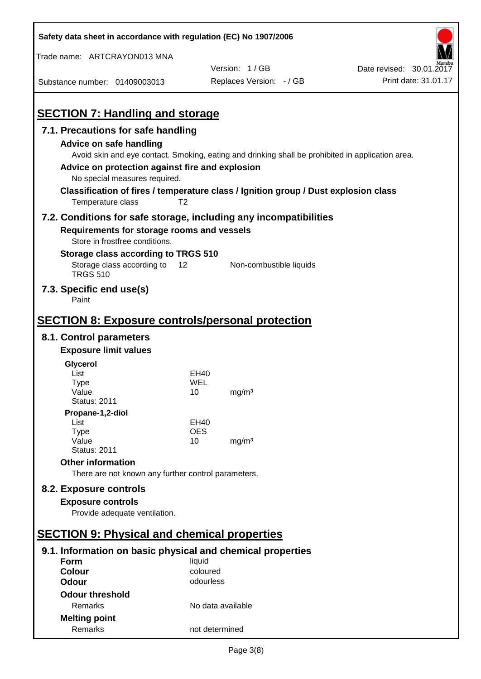| Safety data sheet in accordance with regulation (EC) No 1907/2006                                                                                    |                       |                          |                          |  |
|------------------------------------------------------------------------------------------------------------------------------------------------------|-----------------------|--------------------------|--------------------------|--|
| Trade name: ARTCRAYON013 MNA                                                                                                                         |                       |                          |                          |  |
|                                                                                                                                                      |                       | Version: 1/GB            | Date revised: 30.01.2017 |  |
| Substance number: 01409003013                                                                                                                        |                       | Replaces Version: - / GB | Print date: 31.01.17     |  |
|                                                                                                                                                      |                       |                          |                          |  |
| <b>SECTION 7: Handling and storage</b>                                                                                                               |                       |                          |                          |  |
| 7.1. Precautions for safe handling                                                                                                                   |                       |                          |                          |  |
| Advice on safe handling                                                                                                                              |                       |                          |                          |  |
| Avoid skin and eye contact. Smoking, eating and drinking shall be prohibited in application area.<br>Advice on protection against fire and explosion |                       |                          |                          |  |
| No special measures required.                                                                                                                        |                       |                          |                          |  |
| Classification of fires / temperature class / Ignition group / Dust explosion class                                                                  |                       |                          |                          |  |
| Temperature class<br>T <sub>2</sub>                                                                                                                  |                       |                          |                          |  |
| 7.2. Conditions for safe storage, including any incompatibilities                                                                                    |                       |                          |                          |  |
| Requirements for storage rooms and vessels                                                                                                           |                       |                          |                          |  |
| Store in frostfree conditions.                                                                                                                       |                       |                          |                          |  |
| Storage class according to TRGS 510                                                                                                                  |                       |                          |                          |  |
| Storage class according to<br>12<br><b>TRGS 510</b>                                                                                                  |                       | Non-combustible liquids  |                          |  |
| 7.3. Specific end use(s)<br>Paint                                                                                                                    |                       |                          |                          |  |
|                                                                                                                                                      |                       |                          |                          |  |
| <u><b>SECTION 8: Exposure controls/personal protection</b></u>                                                                                       |                       |                          |                          |  |
| 8.1. Control parameters                                                                                                                              |                       |                          |                          |  |
| <b>Exposure limit values</b>                                                                                                                         |                       |                          |                          |  |
| Glycerol                                                                                                                                             |                       |                          |                          |  |
| List                                                                                                                                                 | EH40                  |                          |                          |  |
| Type<br>Value                                                                                                                                        | WEL<br>10             | mg/m <sup>3</sup>        |                          |  |
| <b>Status: 2011</b>                                                                                                                                  |                       |                          |                          |  |
| Propane-1,2-diol                                                                                                                                     |                       |                          |                          |  |
| List                                                                                                                                                 | EH40                  |                          |                          |  |
| <b>Type</b><br>Value                                                                                                                                 | <b>OES</b><br>10      | mg/m <sup>3</sup>        |                          |  |
| <b>Status: 2011</b>                                                                                                                                  |                       |                          |                          |  |
| <b>Other information</b>                                                                                                                             |                       |                          |                          |  |
| There are not known any further control parameters.                                                                                                  |                       |                          |                          |  |
| 8.2. Exposure controls                                                                                                                               |                       |                          |                          |  |
| <b>Exposure controls</b>                                                                                                                             |                       |                          |                          |  |
| Provide adequate ventilation.                                                                                                                        |                       |                          |                          |  |
|                                                                                                                                                      |                       |                          |                          |  |
| <b>SECTION 9: Physical and chemical properties</b>                                                                                                   |                       |                          |                          |  |
| 9.1. Information on basic physical and chemical properties                                                                                           |                       |                          |                          |  |
| <b>Form</b>                                                                                                                                          | liquid                |                          |                          |  |
| <b>Colour</b><br><b>Odour</b>                                                                                                                        | coloured<br>odourless |                          |                          |  |
| <b>Odour threshold</b>                                                                                                                               |                       |                          |                          |  |
| Remarks                                                                                                                                              | No data available     |                          |                          |  |
| <b>Melting point</b>                                                                                                                                 |                       |                          |                          |  |
| Remarks                                                                                                                                              | not determined        |                          |                          |  |

 $\mathbf{r}$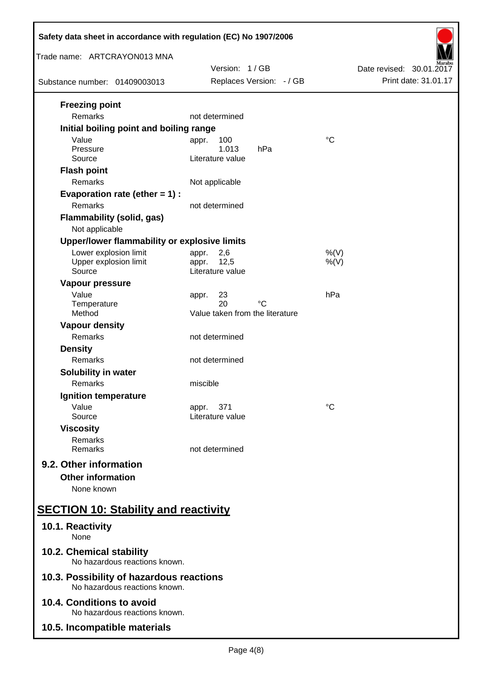| Safety data sheet in accordance with regulation (EC) No 1907/2006         |                                 |                          |  |  |
|---------------------------------------------------------------------------|---------------------------------|--------------------------|--|--|
| Trade name: ARTCRAYON013 MNA                                              | Version: 1/GB                   | Date revised: 30.01.2017 |  |  |
| Substance number: 01409003013                                             | Replaces Version: - / GB        | Print date: 31.01.17     |  |  |
| <b>Freezing point</b><br>Remarks                                          | not determined                  |                          |  |  |
| Initial boiling point and boiling range                                   |                                 |                          |  |  |
| Value<br>Pressure                                                         | 100<br>appr.<br>1.013<br>hPa    | $\rm ^{\circ}C$          |  |  |
| Source                                                                    | Literature value                |                          |  |  |
| <b>Flash point</b>                                                        |                                 |                          |  |  |
| Remarks                                                                   | Not applicable                  |                          |  |  |
| Evaporation rate (ether $= 1$ ) :<br>Remarks                              | not determined                  |                          |  |  |
| <b>Flammability (solid, gas)</b>                                          |                                 |                          |  |  |
| Not applicable                                                            |                                 |                          |  |  |
| Upper/lower flammability or explosive limits                              |                                 |                          |  |  |
| Lower explosion limit<br>Upper explosion limit                            | 2,6<br>appr.<br>12,5<br>appr.   | $%$ (V)<br>$%$ (V)       |  |  |
| Source                                                                    | Literature value                |                          |  |  |
| Vapour pressure                                                           |                                 |                          |  |  |
| Value<br>Temperature                                                      | 23<br>appr.<br>20<br>°C         | hPa                      |  |  |
| Method                                                                    | Value taken from the literature |                          |  |  |
| <b>Vapour density</b>                                                     |                                 |                          |  |  |
| Remarks                                                                   | not determined                  |                          |  |  |
| <b>Density</b>                                                            |                                 |                          |  |  |
| Remarks                                                                   | not determined                  |                          |  |  |
| Solubility in water<br>Remarks                                            | miscible                        |                          |  |  |
| Ignition temperature                                                      |                                 |                          |  |  |
| Value                                                                     | 371<br>appr.                    | °C                       |  |  |
| Source                                                                    | Literature value                |                          |  |  |
| <b>Viscosity</b><br>Remarks                                               |                                 |                          |  |  |
| Remarks                                                                   | not determined                  |                          |  |  |
| 9.2. Other information                                                    |                                 |                          |  |  |
| <b>Other information</b>                                                  |                                 |                          |  |  |
| None known                                                                |                                 |                          |  |  |
| <b>SECTION 10: Stability and reactivity</b>                               |                                 |                          |  |  |
| 10.1. Reactivity<br>None                                                  |                                 |                          |  |  |
| 10.2. Chemical stability<br>No hazardous reactions known.                 |                                 |                          |  |  |
| 10.3. Possibility of hazardous reactions<br>No hazardous reactions known. |                                 |                          |  |  |
| 10.4. Conditions to avoid<br>No hazardous reactions known.                |                                 |                          |  |  |
| 10.5. Incompatible materials                                              |                                 |                          |  |  |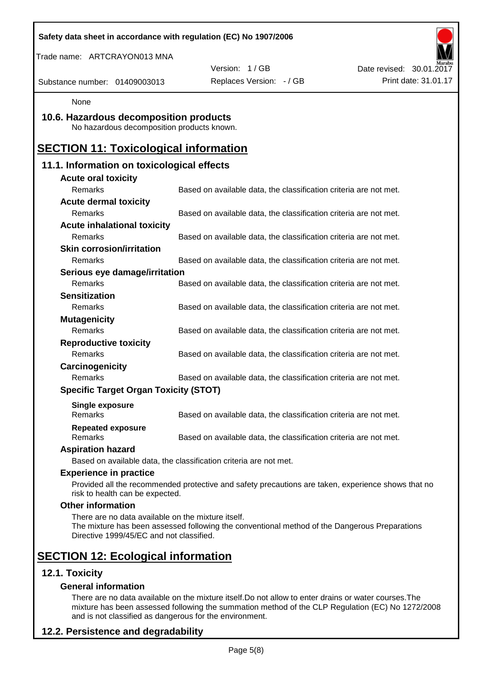|                                                                                                | Safety data sheet in accordance with regulation (EC) No 1907/2006                                  |                          |
|------------------------------------------------------------------------------------------------|----------------------------------------------------------------------------------------------------|--------------------------|
| Trade name: ARTCRAYON013 MNA                                                                   |                                                                                                    |                          |
|                                                                                                | Version: 1/GB                                                                                      | Date revised: 30.01.2017 |
| Substance number: 01409003013                                                                  | Replaces Version: - / GB                                                                           | Print date: 31.01.17     |
| None                                                                                           |                                                                                                    |                          |
| 10.6. Hazardous decomposition products<br>No hazardous decomposition products known.           |                                                                                                    |                          |
| <b>SECTION 11: Toxicological information</b>                                                   |                                                                                                    |                          |
| 11.1. Information on toxicological effects                                                     |                                                                                                    |                          |
| <b>Acute oral toxicity</b>                                                                     |                                                                                                    |                          |
| Remarks                                                                                        | Based on available data, the classification criteria are not met.                                  |                          |
| <b>Acute dermal toxicity</b>                                                                   |                                                                                                    |                          |
| Remarks                                                                                        | Based on available data, the classification criteria are not met.                                  |                          |
| <b>Acute inhalational toxicity</b>                                                             |                                                                                                    |                          |
| Remarks                                                                                        | Based on available data, the classification criteria are not met.                                  |                          |
| <b>Skin corrosion/irritation</b>                                                               |                                                                                                    |                          |
| Remarks                                                                                        | Based on available data, the classification criteria are not met.                                  |                          |
| Serious eye damage/irritation                                                                  |                                                                                                    |                          |
| Remarks                                                                                        | Based on available data, the classification criteria are not met.                                  |                          |
| <b>Sensitization</b>                                                                           |                                                                                                    |                          |
| Remarks                                                                                        | Based on available data, the classification criteria are not met.                                  |                          |
| <b>Mutagenicity</b>                                                                            |                                                                                                    |                          |
| Remarks                                                                                        | Based on available data, the classification criteria are not met.                                  |                          |
| <b>Reproductive toxicity</b><br>Remarks                                                        | Based on available data, the classification criteria are not met.                                  |                          |
|                                                                                                |                                                                                                    |                          |
| Carcinogenicity<br>Remarks                                                                     | Based on available data, the classification criteria are not met.                                  |                          |
| <b>Specific Target Organ Toxicity (STOT)</b>                                                   |                                                                                                    |                          |
|                                                                                                |                                                                                                    |                          |
| <b>Single exposure</b><br>Remarks                                                              | Based on available data, the classification criteria are not met.                                  |                          |
| <b>Repeated exposure</b><br>Remarks                                                            | Based on available data, the classification criteria are not met.                                  |                          |
| <b>Aspiration hazard</b>                                                                       |                                                                                                    |                          |
|                                                                                                | Based on available data, the classification criteria are not met.                                  |                          |
| <b>Experience in practice</b>                                                                  |                                                                                                    |                          |
| risk to health can be expected.                                                                | Provided all the recommended protective and safety precautions are taken, experience shows that no |                          |
| <b>Other information</b>                                                                       |                                                                                                    |                          |
| There are no data available on the mixture itself.<br>Directive 1999/45/EC and not classified. | The mixture has been assessed following the conventional method of the Dangerous Preparations      |                          |
| <b>SECTION 12: Ecological information</b>                                                      |                                                                                                    |                          |
| 12.1. Toxicity                                                                                 |                                                                                                    |                          |
| <b>General information</b>                                                                     |                                                                                                    |                          |

There are no data available on the mixture itself.Do not allow to enter drains or water courses.The mixture has been assessed following the summation method of the CLP Regulation (EC) No 1272/2008 and is not classified as dangerous for the environment.

# **12.2. Persistence and degradability**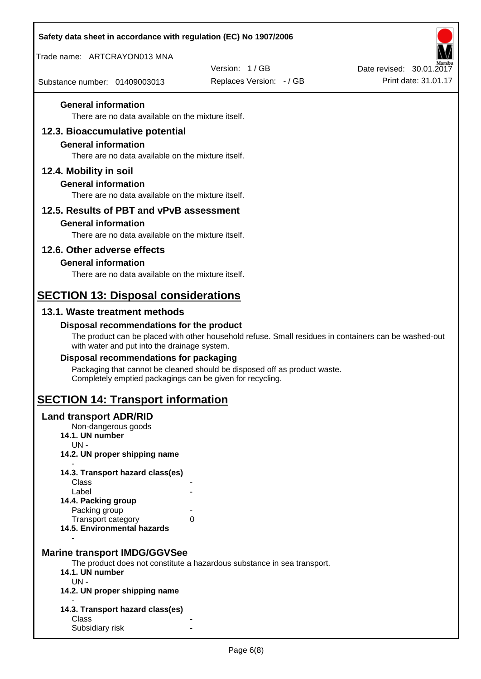| Safety data sheet in accordance with regulation (EC) No 1907/2006       |                                                                                                       |                                                  |
|-------------------------------------------------------------------------|-------------------------------------------------------------------------------------------------------|--------------------------------------------------|
| Trade name: ARTCRAYON013 MNA                                            |                                                                                                       |                                                  |
| Substance number: 01409003013                                           | Version: 1/GB<br>Replaces Version: - / GB                                                             | Date revised: 30.01.2017<br>Print date: 31.01.17 |
|                                                                         |                                                                                                       |                                                  |
| <b>General information</b>                                              |                                                                                                       |                                                  |
| There are no data available on the mixture itself.                      |                                                                                                       |                                                  |
| 12.3. Bioaccumulative potential<br><b>General information</b>           |                                                                                                       |                                                  |
| There are no data available on the mixture itself.                      |                                                                                                       |                                                  |
| 12.4. Mobility in soil                                                  |                                                                                                       |                                                  |
| <b>General information</b>                                              |                                                                                                       |                                                  |
| There are no data available on the mixture itself.                      |                                                                                                       |                                                  |
| 12.5. Results of PBT and vPvB assessment                                |                                                                                                       |                                                  |
| <b>General information</b>                                              |                                                                                                       |                                                  |
| There are no data available on the mixture itself.                      |                                                                                                       |                                                  |
| 12.6. Other adverse effects<br><b>General information</b>               |                                                                                                       |                                                  |
| There are no data available on the mixture itself.                      |                                                                                                       |                                                  |
| <b>SECTION 13: Disposal considerations</b>                              |                                                                                                       |                                                  |
| 13.1. Waste treatment methods                                           |                                                                                                       |                                                  |
| Disposal recommendations for the product                                |                                                                                                       |                                                  |
| with water and put into the drainage system.                            | The product can be placed with other household refuse. Small residues in containers can be washed-out |                                                  |
| Disposal recommendations for packaging                                  |                                                                                                       |                                                  |
| Completely emptied packagings can be given for recycling.               | Packaging that cannot be cleaned should be disposed off as product waste.                             |                                                  |
| <b>SECTION 14: Transport information</b>                                |                                                                                                       |                                                  |
| <b>Land transport ADR/RID</b><br>Non-dangerous goods<br>14.1. UN number |                                                                                                       |                                                  |
| $UN -$                                                                  |                                                                                                       |                                                  |
| 14.2. UN proper shipping name                                           |                                                                                                       |                                                  |
| 14.3. Transport hazard class(es)                                        |                                                                                                       |                                                  |
| Class<br>Label                                                          |                                                                                                       |                                                  |
| 14.4. Packing group<br>Packing group                                    |                                                                                                       |                                                  |
| <b>Transport category</b>                                               | 0                                                                                                     |                                                  |
| 14.5. Environmental hazards                                             |                                                                                                       |                                                  |
| <b>Marine transport IMDG/GGVSee</b>                                     |                                                                                                       |                                                  |
|                                                                         | The product does not constitute a hazardous substance in sea transport.                               |                                                  |
| 14.1. UN number<br>$UN -$                                               |                                                                                                       |                                                  |
| 14.2. UN proper shipping name                                           |                                                                                                       |                                                  |
| 14.3. Transport hazard class(es)                                        |                                                                                                       |                                                  |
| Class<br>Subsidiary risk                                                |                                                                                                       |                                                  |
|                                                                         |                                                                                                       |                                                  |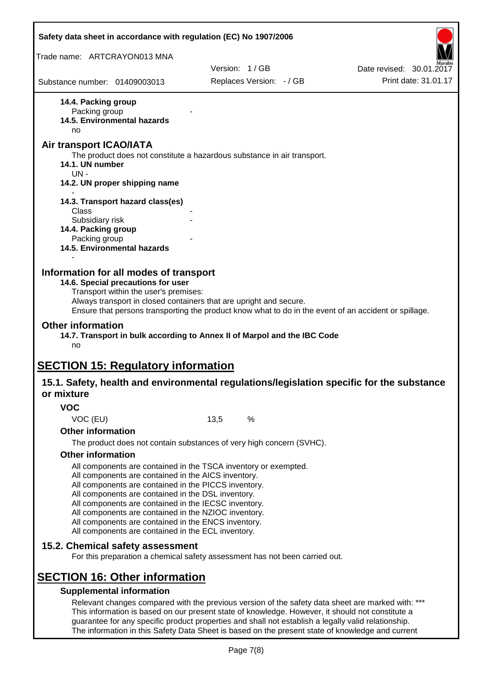|                                      | Safety data sheet in accordance with regulation (EC) No 1907/2006                                                                                                                                                                                                                                                                                                                                                                                                 |      |                                                                                                                                                                                                         |                                                                                                       |
|--------------------------------------|-------------------------------------------------------------------------------------------------------------------------------------------------------------------------------------------------------------------------------------------------------------------------------------------------------------------------------------------------------------------------------------------------------------------------------------------------------------------|------|---------------------------------------------------------------------------------------------------------------------------------------------------------------------------------------------------------|-------------------------------------------------------------------------------------------------------|
| Trade name: ARTCRAYON013 MNA         |                                                                                                                                                                                                                                                                                                                                                                                                                                                                   |      |                                                                                                                                                                                                         |                                                                                                       |
|                                      |                                                                                                                                                                                                                                                                                                                                                                                                                                                                   |      | Version: 1/GB                                                                                                                                                                                           | Date revised: 30.01.2017                                                                              |
| Substance number: 01409003013        |                                                                                                                                                                                                                                                                                                                                                                                                                                                                   |      | Replaces Version: - / GB                                                                                                                                                                                | Print date: 31.01.17                                                                                  |
| 14.4. Packing group                  |                                                                                                                                                                                                                                                                                                                                                                                                                                                                   |      |                                                                                                                                                                                                         |                                                                                                       |
| Packing group                        | 14.5. Environmental hazards                                                                                                                                                                                                                                                                                                                                                                                                                                       |      |                                                                                                                                                                                                         |                                                                                                       |
| no                                   |                                                                                                                                                                                                                                                                                                                                                                                                                                                                   |      |                                                                                                                                                                                                         |                                                                                                       |
| Air transport ICAO/IATA              |                                                                                                                                                                                                                                                                                                                                                                                                                                                                   |      |                                                                                                                                                                                                         |                                                                                                       |
| 14.1. UN number<br>$UN -$            |                                                                                                                                                                                                                                                                                                                                                                                                                                                                   |      | The product does not constitute a hazardous substance in air transport.                                                                                                                                 |                                                                                                       |
|                                      | 14.2. UN proper shipping name                                                                                                                                                                                                                                                                                                                                                                                                                                     |      |                                                                                                                                                                                                         |                                                                                                       |
|                                      | 14.3. Transport hazard class(es)                                                                                                                                                                                                                                                                                                                                                                                                                                  |      |                                                                                                                                                                                                         |                                                                                                       |
| Class<br>Subsidiary risk             |                                                                                                                                                                                                                                                                                                                                                                                                                                                                   |      |                                                                                                                                                                                                         |                                                                                                       |
| 14.4. Packing group                  |                                                                                                                                                                                                                                                                                                                                                                                                                                                                   |      |                                                                                                                                                                                                         |                                                                                                       |
| Packing group                        |                                                                                                                                                                                                                                                                                                                                                                                                                                                                   |      |                                                                                                                                                                                                         |                                                                                                       |
|                                      | 14.5. Environmental hazards                                                                                                                                                                                                                                                                                                                                                                                                                                       |      |                                                                                                                                                                                                         |                                                                                                       |
| <b>Other information</b><br>no       | Always transport in closed containers that are upright and secure.                                                                                                                                                                                                                                                                                                                                                                                                |      | 14.7. Transport in bulk according to Annex II of Marpol and the IBC Code                                                                                                                                | Ensure that persons transporting the product know what to do in the event of an accident or spillage. |
|                                      | <b>SECTION 15: Regulatory information</b>                                                                                                                                                                                                                                                                                                                                                                                                                         |      |                                                                                                                                                                                                         |                                                                                                       |
|                                      |                                                                                                                                                                                                                                                                                                                                                                                                                                                                   |      |                                                                                                                                                                                                         | 15.1. Safety, health and environmental regulations/legislation specific for the substance             |
| or mixture                           |                                                                                                                                                                                                                                                                                                                                                                                                                                                                   |      |                                                                                                                                                                                                         |                                                                                                       |
| <b>VOC</b>                           |                                                                                                                                                                                                                                                                                                                                                                                                                                                                   |      |                                                                                                                                                                                                         |                                                                                                       |
| VOC (EU)<br><b>Other information</b> |                                                                                                                                                                                                                                                                                                                                                                                                                                                                   | 13,5 | %                                                                                                                                                                                                       |                                                                                                       |
|                                      |                                                                                                                                                                                                                                                                                                                                                                                                                                                                   |      | The product does not contain substances of very high concern (SVHC).                                                                                                                                    |                                                                                                       |
| <b>Other information</b>             |                                                                                                                                                                                                                                                                                                                                                                                                                                                                   |      |                                                                                                                                                                                                         |                                                                                                       |
|                                      | All components are contained in the TSCA inventory or exempted.<br>All components are contained in the AICS inventory.<br>All components are contained in the PICCS inventory.<br>All components are contained in the DSL inventory.<br>All components are contained in the IECSC inventory.<br>All components are contained in the NZIOC inventory.<br>All components are contained in the ENCS inventory.<br>All components are contained in the ECL inventory. |      |                                                                                                                                                                                                         |                                                                                                       |
|                                      | 15.2. Chemical safety assessment                                                                                                                                                                                                                                                                                                                                                                                                                                  |      | For this preparation a chemical safety assessment has not been carried out.                                                                                                                             |                                                                                                       |
|                                      | <b>SECTION 16: Other information</b>                                                                                                                                                                                                                                                                                                                                                                                                                              |      |                                                                                                                                                                                                         |                                                                                                       |
|                                      | <b>Supplemental information</b>                                                                                                                                                                                                                                                                                                                                                                                                                                   |      |                                                                                                                                                                                                         |                                                                                                       |
|                                      |                                                                                                                                                                                                                                                                                                                                                                                                                                                                   |      | This information is based on our present state of knowledge. However, it should not constitute a<br>guarantee for any specific product properties and shall not establish a legally valid relationship. | Relevant changes compared with the previous version of the safety data sheet are marked with: ***     |

Page 7(8)

The information in this Safety Data Sheet is based on the present state of knowledge and current